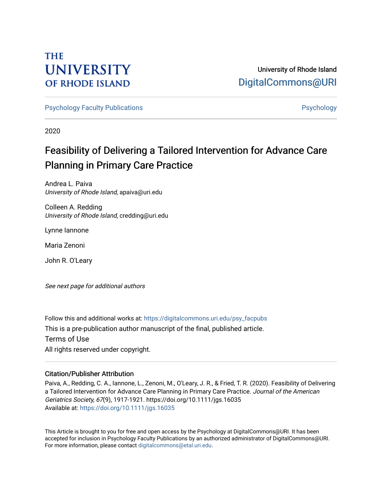# **THE UNIVERSITY OF RHODE ISLAND**

University of Rhode Island [DigitalCommons@URI](https://digitalcommons.uri.edu/) 

[Psychology Faculty Publications](https://digitalcommons.uri.edu/psy_facpubs) **Provides** [Psychology](https://digitalcommons.uri.edu/psy) **Psychology** 

2020

# Feasibility of Delivering a Tailored Intervention for Advance Care Planning in Primary Care Practice

Andrea L. Paiva University of Rhode Island, apaiva@uri.edu

Colleen A. Redding University of Rhode Island, credding@uri.edu

Lynne Iannone

Maria Zenoni

John R. O'Leary

See next page for additional authors

Follow this and additional works at: [https://digitalcommons.uri.edu/psy\\_facpubs](https://digitalcommons.uri.edu/psy_facpubs?utm_source=digitalcommons.uri.edu%2Fpsy_facpubs%2F88&utm_medium=PDF&utm_campaign=PDFCoverPages)  This is a pre-publication author manuscript of the final, published article. Terms of Use All rights reserved under copyright.

# Citation/Publisher Attribution

Paiva, A., Redding, C. A., Iannone, L., Zenoni, M., O'Leary, J. R., & Fried, T. R. (2020). Feasibility of Delivering a Tailored Intervention for Advance Care Planning in Primary Care Practice. Journal of the American Geriatrics Society, 67(9), 1917-1921. https://doi.org/10.1111/jgs.16035 Available at:<https://doi.org/10.1111/jgs.16035>

This Article is brought to you for free and open access by the Psychology at DigitalCommons@URI. It has been accepted for inclusion in Psychology Faculty Publications by an authorized administrator of DigitalCommons@URI. For more information, please contact [digitalcommons@etal.uri.edu](mailto:digitalcommons@etal.uri.edu).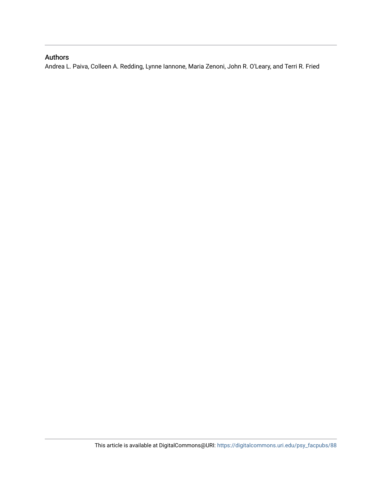# Authors

Andrea L. Paiva, Colleen A. Redding, Lynne Iannone, Maria Zenoni, John R. O'Leary, and Terri R. Fried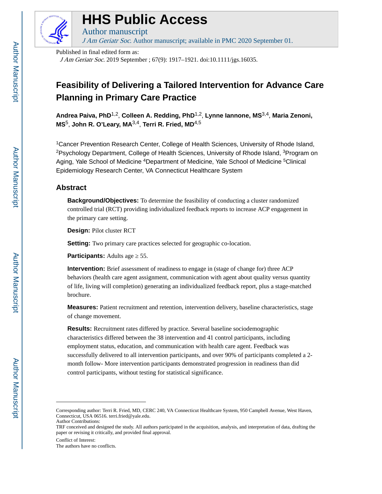

# **HHS Public Access**

Author manuscript J Am Geriatr Soc. Author manuscript; available in PMC 2020 September 01.

Published in final edited form as:

J Am Geriatr Soc. 2019 September ; 67(9): 1917–1921. doi:10.1111/jgs.16035.

# **Feasibility of Delivering a Tailored Intervention for Advance Care Planning in Primary Care Practice**

**Andrea Paiva, PhD**1,2, **Colleen A. Redding, PhD**1,2, **Lynne Iannone, MS**3,4, **Maria Zenoni, MS**5, **John R. O'Leary, MA**3,4, **Terri R. Fried, MD**4,5

<sup>1</sup>Cancer Prevention Research Center, College of Health Sciences, University of Rhode Island, <sup>2</sup>Psychology Department, College of Health Sciences, University of Rhode Island, <sup>3</sup>Program on Aging, Yale School of Medicine <sup>4</sup>Department of Medicine, Yale School of Medicine <sup>5</sup>Clinical Epidemiology Research Center, VA Connecticut Healthcare System

# **Abstract**

**Background/Objectives:** To determine the feasibility of conducting a cluster randomized controlled trial (RCT) providing individualized feedback reports to increase ACP engagement in the primary care setting.

**Design:** Pilot cluster RCT

**Setting:** Two primary care practices selected for geographic co-location.

**Participants:** Adults age 55.

**Intervention:** Brief assessment of readiness to engage in (stage of change for) three ACP behaviors (health care agent assignment, communication with agent about quality versus quantity of life, living will completion) generating an individualized feedback report, plus a stage-matched brochure.

**Measures:** Patient recruitment and retention, intervention delivery, baseline characteristics, stage of change movement.

**Results:** Recruitment rates differed by practice. Several baseline sociodemographic characteristics differed between the 38 intervention and 41 control participants, including employment status, education, and communication with health care agent. Feedback was successfully delivered to all intervention participants, and over 90% of participants completed a 2 month follow- More intervention participants demonstrated progression in readiness than did control participants, without testing for statistical significance.

Conflict of Interest:

Corresponding author: Terri R. Fried, MD, CERC 240, VA Connecticut Healthcare System, 950 Campbell Avenue, West Haven, Connecticut, USA 06516. terri.fried@yale.edu. Author Contributions:

TRF conceived and designed the study. All authors participated in the acquisition, analysis, and interpretation of data, drafting the paper or revising it critically, and provided final approval.

The authors have no conflicts.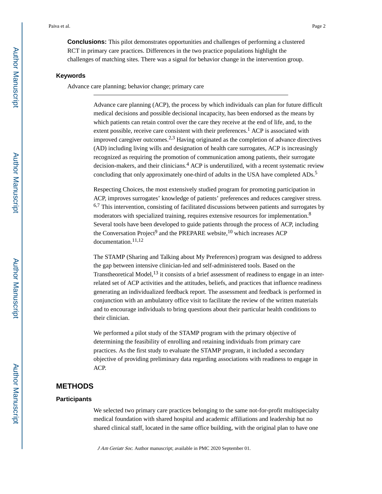**Conclusions:** This pilot demonstrates opportunities and challenges of performing a clustered RCT in primary care practices. Differences in the two practice populations highlight the challenges of matching sites. There was a signal for behavior change in the intervention group.

#### **Keywords**

Advance care planning; behavior change; primary care

Advance care planning (ACP), the process by which individuals can plan for future difficult medical decisions and possible decisional incapacity, has been endorsed as the means by which patients can retain control over the care they receive at the end of life, and, to the extent possible, receive care consistent with their preferences.<sup>1</sup> ACP is associated with improved caregiver outcomes.<sup>2,3</sup> Having originated as the completion of advance directives (AD) including living wills and designation of health care surrogates, ACP is increasingly recognized as requiring the promotion of communication among patients, their surrogate decision-makers, and their clinicians.<sup>4</sup> ACP is underutilized, with a recent systematic review concluding that only approximately one-third of adults in the USA have completed ADs.<sup>5</sup>

Respecting Choices, the most extensively studied program for promoting participation in ACP, improves surrogates' knowledge of patients' preferences and reduces caregiver stress.  $6.7$  This intervention, consisting of facilitated discussions between patients and surrogates by moderators with specialized training, requires extensive resources for implementation.<sup>8</sup> Several tools have been developed to guide patients through the process of ACP, including the Conversation Project<sup>9</sup> and the PREPARE website,  $^{10}$  which increases ACP documentation.<sup>11,12</sup>

The STAMP (Sharing and Talking about My Preferences) program was designed to address the gap between intensive clinician-led and self-administered tools. Based on the Transtheoretical Model, $^{13}$  it consists of a brief assessment of readiness to engage in an interrelated set of ACP activities and the attitudes, beliefs, and practices that influence readiness generating an individualized feedback report. The assessment and feedback is performed in conjunction with an ambulatory office visit to facilitate the review of the written materials and to encourage individuals to bring questions about their particular health conditions to their clinician.

We performed a pilot study of the STAMP program with the primary objective of determining the feasibility of enrolling and retaining individuals from primary care practices. As the first study to evaluate the STAMP program, it included a secondary objective of providing preliminary data regarding associations with readiness to engage in ACP.

# **METHODS**

#### **Participants**

We selected two primary care practices belonging to the same not-for-profit multispecialty medical foundation with shared hospital and academic affiliations and leadership but no shared clinical staff, located in the same office building, with the original plan to have one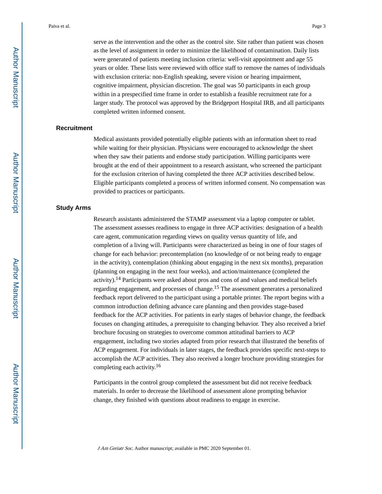Paiva et al. Page 3

serve as the intervention and the other as the control site. Site rather than patient was chosen as the level of assignment in order to minimize the likelihood of contamination. Daily lists were generated of patients meeting inclusion criteria: well-visit appointment and age 55 years or older. These lists were reviewed with office staff to remove the names of individuals with exclusion criteria: non-English speaking, severe vision or hearing impairment, cognitive impairment, physician discretion. The goal was 50 participants in each group within in a prespecified time frame in order to establish a feasible recruitment rate for a larger study. The protocol was approved by the Bridgeport Hospital IRB, and all participants completed written informed consent.

#### **Recruitment**

Medical assistants provided potentially eligible patients with an information sheet to read while waiting for their physician. Physicians were encouraged to acknowledge the sheet when they saw their patients and endorse study participation. Willing participants were brought at the end of their appointment to a research assistant, who screened the participant for the exclusion criterion of having completed the three ACP activities described below. Eligible participants completed a process of written informed consent. No compensation was provided to practices or participants.

#### **Study Arms**

Research assistants administered the STAMP assessment via a laptop computer or tablet. The assessment assesses readiness to engage in three ACP activities: designation of a health care agent, communication regarding views on quality versus quantity of life, and completion of a living will. Participants were characterized as being in one of four stages of change for each behavior: precontemplation (no knowledge of or not being ready to engage in the activity), contemplation (thinking about engaging in the next six months), preparation (planning on engaging in the next four weeks), and action/maintenance (completed the activity).14 Participants were asked about pros and cons of and values and medical beliefs regarding engagement, and processes of change.15 The assessment generates a personalized feedback report delivered to the participant using a portable printer. The report begins with a common introduction defining advance care planning and then provides stage-based feedback for the ACP activities. For patients in early stages of behavior change, the feedback focuses on changing attitudes, a prerequisite to changing behavior. They also received a brief brochure focusing on strategies to overcome common attitudinal barriers to ACP engagement, including two stories adapted from prior research that illustrated the benefits of ACP engagement. For individuals in later stages, the feedback provides specific next-steps to accomplish the ACP activities. They also received a longer brochure providing strategies for completing each activity.<sup>16</sup>

Participants in the control group completed the assessment but did not receive feedback materials. In order to decrease the likelihood of assessment alone prompting behavior change, they finished with questions about readiness to engage in exercise.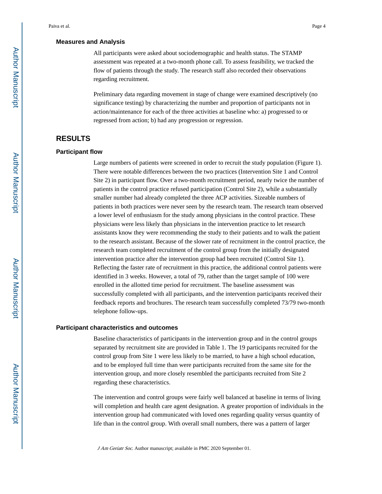#### **Measures and Analysis**

All participants were asked about sociodemographic and health status. The STAMP assessment was repeated at a two-month phone call. To assess feasibility, we tracked the flow of patients through the study. The research staff also recorded their observations regarding recruitment.

Preliminary data regarding movement in stage of change were examined descriptively (no significance testing) by characterizing the number and proportion of participants not in action/maintenance for each of the three activities at baseline who: a) progressed to or regressed from action; b) had any progression or regression.

# **RESULTS**

#### **Participant flow**

Large numbers of patients were screened in order to recruit the study population (Figure 1). There were notable differences between the two practices (Intervention Site 1 and Control Site 2) in participant flow. Over a two-month recruitment period, nearly twice the number of patients in the control practice refused participation (Control Site 2), while a substantially smaller number had already completed the three ACP activities. Sizeable numbers of patients in both practices were never seen by the research team. The research team observed a lower level of enthusiasm for the study among physicians in the control practice. These physicians were less likely than physicians in the intervention practice to let research assistants know they were recommending the study to their patients and to walk the patient to the research assistant. Because of the slower rate of recruitment in the control practice, the research team completed recruitment of the control group from the initially designated intervention practice after the intervention group had been recruited (Control Site 1). Reflecting the faster rate of recruitment in this practice, the additional control patients were identified in 3 weeks. However, a total of 79, rather than the target sample of 100 were enrolled in the allotted time period for recruitment. The baseline assessment was successfully completed with all participants, and the intervention participants received their feedback reports and brochures. The research team successfully completed 73/79 two-month telephone follow-ups.

#### **Participant characteristics and outcomes**

Baseline characteristics of participants in the intervention group and in the control groups separated by recruitment site are provided in Table 1. The 19 participants recruited for the control group from Site 1 were less likely to be married, to have a high school education, and to be employed full time than were participants recruited from the same site for the intervention group, and more closely resembled the participants recruited from Site 2 regarding these characteristics.

The intervention and control groups were fairly well balanced at baseline in terms of living will completion and health care agent designation. A greater proportion of individuals in the intervention group had communicated with loved ones regarding quality versus quantity of life than in the control group. With overall small numbers, there was a pattern of larger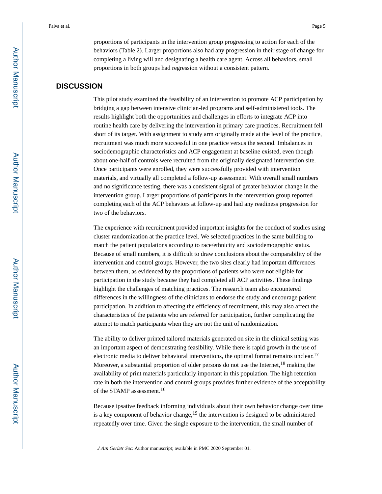proportions of participants in the intervention group progressing to action for each of the behaviors (Table 2). Larger proportions also had any progression in their stage of change for completing a living will and designating a health care agent. Across all behaviors, small proportions in both groups had regression without a consistent pattern.

# **DISCUSSION**

This pilot study examined the feasibility of an intervention to promote ACP participation by bridging a gap between intensive clinician-led programs and self-administered tools. The results highlight both the opportunities and challenges in efforts to integrate ACP into routine health care by delivering the intervention in primary care practices. Recruitment fell short of its target. With assignment to study arm originally made at the level of the practice, recruitment was much more successful in one practice versus the second. Imbalances in sociodemographic characteristics and ACP engagement at baseline existed, even though about one-half of controls were recruited from the originally designated intervention site. Once participants were enrolled, they were successfully provided with intervention materials, and virtually all completed a follow-up assessment. With overall small numbers and no significance testing, there was a consistent signal of greater behavior change in the intervention group. Larger proportions of participants in the intervention group reported completing each of the ACP behaviors at follow-up and had any readiness progression for two of the behaviors.

The experience with recruitment provided important insights for the conduct of studies using cluster randomization at the practice level. We selected practices in the same building to match the patient populations according to race/ethnicity and sociodemographic status. Because of small numbers, it is difficult to draw conclusions about the comparability of the intervention and control groups. However, the two sites clearly had important differences between them, as evidenced by the proportions of patients who were not eligible for participation in the study because they had completed all ACP activities. These findings highlight the challenges of matching practices. The research team also encountered differences in the willingness of the clinicians to endorse the study and encourage patient participation. In addition to affecting the efficiency of recruitment, this may also affect the characteristics of the patients who are referred for participation, further complicating the attempt to match participants when they are not the unit of randomization.

The ability to deliver printed tailored materials generated on site in the clinical setting was an important aspect of demonstrating feasibility. While there is rapid growth in the use of electronic media to deliver behavioral interventions, the optimal format remains unclear.<sup>17</sup> Moreover, a substantial proportion of older persons do not use the Internet,  $^{18}$  making the availability of print materials particularly important in this population. The high retention rate in both the intervention and control groups provides further evidence of the acceptability of the STAMP assessment.<sup>16</sup>

Because ipsative feedback informing individuals about their own behavior change over time is a key component of behavior change, $19$  the intervention is designed to be administered repeatedly over time. Given the single exposure to the intervention, the small number of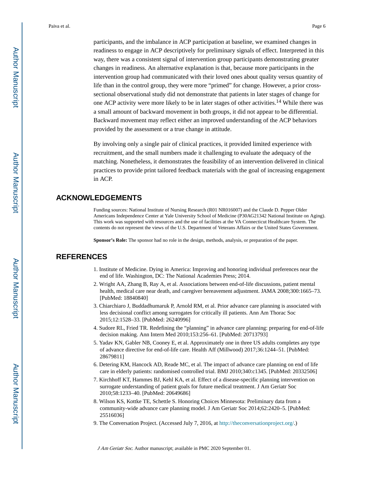participants, and the imbalance in ACP participation at baseline, we examined changes in readiness to engage in ACP descriptively for preliminary signals of effect. Interpreted in this way, there was a consistent signal of intervention group participants demonstrating greater changes in readiness. An alternative explanation is that, because more participants in the intervention group had communicated with their loved ones about quality versus quantity of life than in the control group, they were more "primed" for change. However, a prior crosssectional observational study did not demonstrate that patients in later stages of change for one ACP activity were more likely to be in later stages of other activities.<sup>14</sup> While there was a small amount of backward movement in both groups, it did not appear to be differential. Backward movement may reflect either an improved understanding of the ACP behaviors provided by the assessment or a true change in attitude.

By involving only a single pair of clinical practices, it provided limited experience with recruitment, and the small numbers made it challenging to evaluate the adequacy of the matching. Nonetheless, it demonstrates the feasibility of an intervention delivered in clinical practices to provide print tailored feedback materials with the goal of increasing engagement in ACP.

## **ACKNOWLEDGEMENTS**

Funding sources: National Institute of Nursing Research (R01 NR016007) and the Claude D. Pepper Older Americans Independence Center at Yale University School of Medicine (P30AG21342 National Institute on Aging). This work was supported with resources and the use of facilities at the VA Connecticut Healthcare System. The contents do not represent the views of the U.S. Department of Veterans Affairs or the United States Government.

**Sponsor's Role:** The sponsor had no role in the design, methods, analysis, or preparation of the paper.

# **REFERENCES**

- 1. Institute of Medicine. Dying in America: Improving and honoring individual preferences near the end of life. Washington, DC: The National Academies Press; 2014.
- 2. Wright AA, Zhang B, Ray A, et al. Associations between end-of-life discussions, patient mental health, medical care near death, and caregiver bereavement adjustment. JAMA 2008;300:1665–73. [PubMed: 18840840]
- 3. Chiarchiaro J, Buddadhumaruk P, Arnold RM, et al. Prior advance care planning is associated with less decisional conflict among surrogates for critically ill patients. Ann Am Thorac Soc 2015;12:1528–33. [PubMed: 26240996]
- 4. Sudore RL, Fried TR. Redefining the "planning" in advance care planning: preparing for end-of-life decision making. Ann Intern Med 2010;153:256–61. [PubMed: 20713793]
- 5. Yadav KN, Gabler NB, Cooney E, et al. Approximately one in three US adults completes any type of advance directive for end-of-life care. Health Aff (Millwood) 2017;36:1244–51. [PubMed: 28679811]
- 6. Detering KM, Hancock AD, Reade MC, et al. The impact of advance care planning on end of life care in elderly patients: randomised controlled trial. BMJ 2010;340:c1345. [PubMed: 20332506]
- 7. Kirchhoff KT, Hammes BJ, Kehl KA, et al. Effect of a disease-specific planning intervention on surrogate understanding of patient goals for future medical treatment. J Am Geriatr Soc 2010;58:1233–40. [PubMed: 20649686]
- 8. Wilson KS, Kottke TE, Schettle S. Honoring Choices Minnesota: Preliminary data from a community-wide advance care planning model. J Am Geriatr Soc 2014;62:2420–5. [PubMed: 25516036]
- 9. The Conversation Project. (Accessed July 7, 2016, at <http://theconversationproject.org/>.)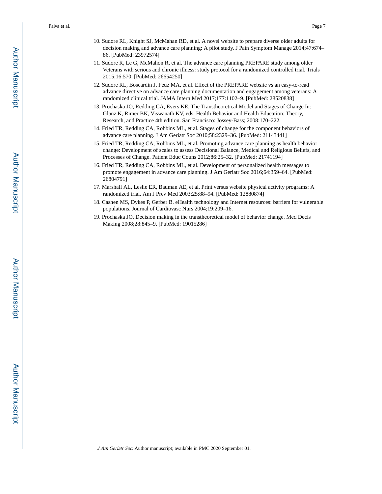Paiva et al. Page 7

- 10. Sudore RL, Knight SJ, McMahan RD, et al. A novel website to prepare diverse older adults for decision making and advance care planning: A pilot study. J Pain Symptom Manage 2014;47:674– 86. [PubMed: 23972574]
- 11. Sudore R, Le G, McMahon R, et al. The advance care planning PREPARE study among older Veterans with serious and chronic illness: study protocol for a randomized controlled trial. Trials 2015;16:570. [PubMed: 26654250]
- 12. Sudore RL, Boscardin J, Feuz MA, et al. Effect of the PREPARE website vs an easy-to-read advance directive on advance care planning documentation and engagement among veterans: A randomized clinical trial. JAMA Intern Med 2017;177:1102–9. [PubMed: 28520838]
- 13. Prochaska JO, Redding CA, Evers KE. The Transtheoretical Model and Stages of Change In: Glanz K, Rimer BK, Viswanath KV, eds. Health Behavior and Health Education: Theory, Research, and Practice 4th edition. San Francisco: Jossey-Bass; 2008:170–222.
- 14. Fried TR, Redding CA, Robbins ML, et al. Stages of change for the component behaviors of advance care planning. J Am Geriatr Soc 2010;58:2329–36. [PubMed: 21143441]
- 15. Fried TR, Redding CA, Robbins ML, et al. Promoting advance care planning as health behavior change: Development of scales to assess Decisional Balance, Medical and Religious Beliefs, and Processes of Change. Patient Educ Couns 2012;86:25–32. [PubMed: 21741194]
- 16. Fried TR, Redding CA, Robbins ML, et al. Development of personalized health messages to promote engagement in advance care planning. J Am Geriatr Soc 2016;64:359–64. [PubMed: 26804791]
- 17. Marshall AL, Leslie ER, Bauman AE, et al. Print versus website physical activity programs: A randomized trial. Am J Prev Med 2003;25:88–94. [PubMed: 12880874]
- 18. Cashen MS, Dykes P, Gerber B. eHealth technology and Internet resources: barriers for vulnerable populations. Journal of Cardiovasc Nurs 2004;19:209–16.
- 19. Prochaska JO. Decision making in the transtheoretical model of behavior change. Med Decis Making 2008;28:845–9. [PubMed: 19015286]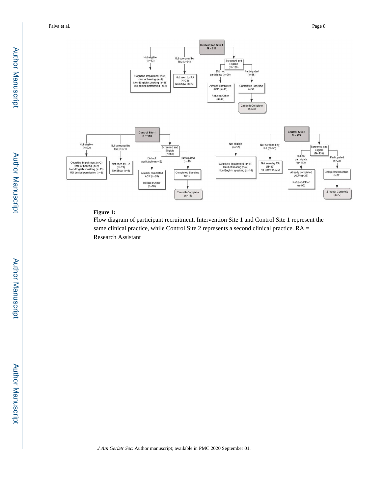Paiva et al. Page 8



#### **Figure 1:**

Flow diagram of participant recruitment. Intervention Site 1 and Control Site 1 represent the same clinical practice, while Control Site 2 represents a second clinical practice. RA = Research Assistant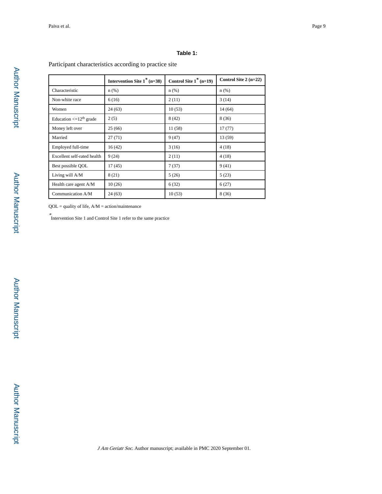## **Table 1:**

## Participant characteristics according to practice site

|                                         | Intervention Site $1^*$ (n=38) | Control Site $1^*$ (n=19) | Control Site $2(n=22)$ |
|-----------------------------------------|--------------------------------|---------------------------|------------------------|
| Characteristic                          | $n$ (%)                        | $n$ (%)                   | $n$ (%)                |
| Non-white race                          | 6(16)                          | 2(11)                     | 3(14)                  |
| Women                                   | 24 (63)                        | 10(53)                    | 14(64)                 |
| Education $\leq$ 12 <sup>th</sup> grade | 2(5)                           | 8(42)                     | 8 (36)                 |
| Money left over                         | 25(66)                         | 11 (58)                   | 17(77)                 |
| Married                                 | 27(71)                         | 9(47)                     | 13 (59)                |
| Employed full-time                      | 16(42)                         | 3(16)                     | 4(18)                  |
| Excellent self-rated health             | 9(24)                          | 2(11)                     | 4(18)                  |
| Best possible QOL                       | 17(45)                         | 7(37)                     | 9(41)                  |
| Living will A/M                         | 8(21)                          | 5(26)                     | 5(23)                  |
| Health care agent A/M                   | 10(26)                         | 6(32)                     | 6(27)                  |
| Communication A/M                       | 24 (63)                        | 10(53)                    | 8(36)                  |

 $QOL =$  quality of life,  $A/M =$  action/maintenance

\* Intervention Site 1 and Control Site 1 refer to the same practice